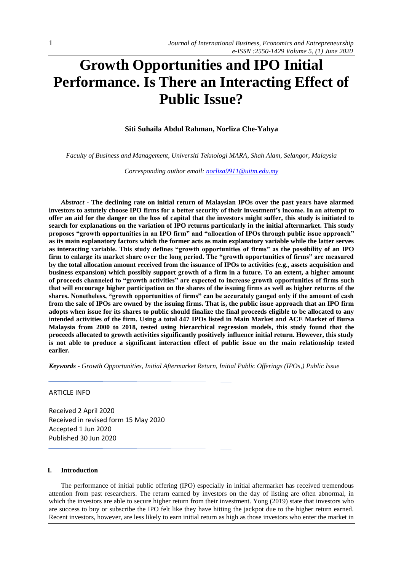# **Growth Opportunities and IPO Initial Performance. Is There an Interacting Effect of Public Issue?**

## **Siti Suhaila Abdul Rahman, Norliza Che-Yahya**

*Faculty of Business and Management, Universiti Teknologi MARA, Shah Alam, Selangor, Malaysia*

*Corresponding author email: [norliza9911@uitm.edu.my](mailto:norliza9911@uitm.edu.my)*

*Abstract -* **The declining rate on initial return of Malaysian IPOs over the past years have alarmed investors to astutely choose IPO firms for a better security of their investment's income. In an attempt to offer an aid for the danger on the loss of capital that the investors might suffer, this study is initiated to search for explanations on the variation of IPO returns particularly in the initial aftermarket. This study proposes "growth opportunities in an IPO firm" and "allocation of IPOs through public issue approach" as its main explanatory factors which the former acts as main explanatory variable while the latter serves as interacting variable. This study defines "growth opportunities of firms" as the possibility of an IPO firm to enlarge its market share over the long period. The "growth opportunities of firms" are measured by the total allocation amount received from the issuance of IPOs to activities (e.g., assets acquisition and business expansion) which possibly support growth of a firm in a future. To an extent, a higher amount of proceeds channeled to "growth activities" are expected to increase growth opportunities of firms such that will encourage higher participation on the shares of the issuing firms as well as higher returns of the shares. Nonetheless, "growth opportunities of firms" can be accurately gauged only if the amount of cash from the sale of IPOs are owned by the issuing firms. That is, the public issue approach that an IPO firm adopts when issue for its shares to public should finalize the final proceeds eligible to be allocated to any intended activities of the firm. Using a total 447 IPOs listed in Main Market and ACE Market of Bursa Malaysia from 2000 to 2018, tested using hierarchical regression models, this study found that the proceeds allocated to growth activities significantly positively influence initial return. However, this study is not able to produce a significant interaction effect of public issue on the main relationship tested earlier.**

*Keywords - Growth Opportunities, Initial Aftermarket Return, Initial Public Offerings (IPOs,) Public Issue*

## ARTICLE INFO

Received 2 April 2020 Received in revised form 15 May 2020 Accepted 1 Jun 2020 Published 30 Jun 2020

# **I. Introduction**

The performance of initial public offering (IPO) especially in initial aftermarket has received tremendous attention from past researchers. The return earned by investors on the day of listing are often abnormal, in which the investors are able to secure higher return from their investment. Yong (2019) state that investors who are success to buy or subscribe the IPO felt like they have hitting the jackpot due to the higher return earned. Recent investors, however, are less likely to earn initial return as high as those investors who enter the market in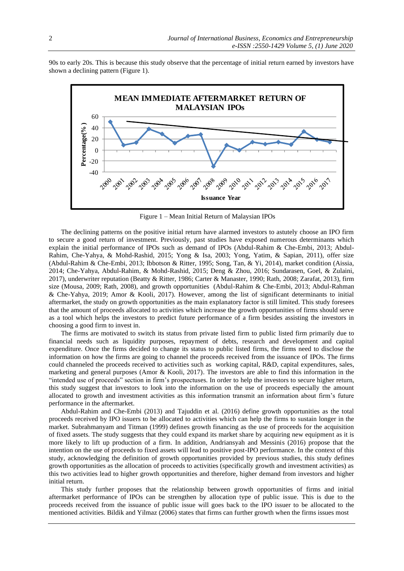90s to early 20s. This is because this study observe that the percentage of initial return earned by investors have shown a declining pattern (Figure 1).



Figure 1 – Mean Initial Return of Malaysian IPOs

The declining patterns on the positive initial return have alarmed investors to astutely choose an IPO firm to secure a good return of investment. Previously, past studies have exposed numerous determinants which explain the initial performance of IPOs such as demand of IPOs (Abdul-Rahim & Che-Embi, 2013; Abdul-Rahim, Che-Yahya, & Mohd-Rashid, 2015; Yong & Isa, 2003; Yong, Yatim, & Sapian, 2011), offer size (Abdul-Rahim & Che-Embi, 2013; Ibbotson & Ritter, 1995; Song, Tan, & Yi, 2014), market condition (Aissia, 2014; Che-Yahya, Abdul-Rahim, & Mohd-Rashid, 2015; Deng & Zhou, 2016; Sundarasen, Goel, & Zulaini, 2017), underwriter reputation (Beatty & Ritter, 1986; Carter & Manaster, 1990; Rath, 2008; Zarafat, 2013), firm size (Mousa, 2009; Rath, 2008), and growth opportunities (Abdul-Rahim & Che-Embi, 2013; Abdul-Rahman & Che-Yahya, 2019; Amor & Kooli, 2017). However, among the list of significant determinants to initial aftermarket, the study on growth opportunities as the main explanatory factor is still limited. This study foresees that the amount of proceeds allocated to activities which increase the growth opportunities of firms should serve as a tool which helps the investors to predict future performance of a firm besides assisting the investors in choosing a good firm to invest in.

The firms are motivated to switch its status from private listed firm to public listed firm primarily due to financial needs such as liquidity purposes, repayment of debts, research and development and capital expenditure. Once the firms decided to change its status to public listed firms, the firms need to disclose the information on how the firms are going to channel the proceeds received from the issuance of IPOs. The firms could channeled the proceeds received to activities such as working capital, R&D, capital expenditures, sales, marketing and general purposes (Amor & Kooli, 2017). The investors are able to find this information in the "intended use of proceeds" section in firm's prospectuses. In order to help the investors to secure higher return, this study suggest that investors to look into the information on the use of proceeds especially the amount allocated to growth and investment activities as this information transmit an information about firm's future performance in the aftermarket.

Abdul-Rahim and Che-Embi (2013) and Tajuddin et al. (2016) define growth opportunities as the total proceeds received by IPO issuers to be allocated to activities which can help the firms to sustain longer in the market. Subrahmanyam and Titman (1999) defines growth financing as the use of proceeds for the acquisition of fixed assets. The study suggests that they could expand its market share by acquiring new equipment as it is more likely to lift up production of a firm. In addition, Andriansyah and Messinis (2016) propose that the intention on the use of proceeds to fixed assets will lead to positive post-IPO performance. In the context of this study, acknowledging the definition of growth opportunities provided by previous studies, this study defines growth opportunities as the allocation of proceeds to activities (specifically growth and investment activities) as this two activities lead to higher growth opportunities and therefore, higher demand from investors and higher initial return.

This study further proposes that the relationship between growth opportunities of firms and initial aftermarket performance of IPOs can be strengthen by allocation type of public issue. This is due to the proceeds received from the issuance of public issue will goes back to the IPO issuer to be allocated to the mentioned activities. Bildik and Yilmaz (2006) states that firms can further growth when the firms issues most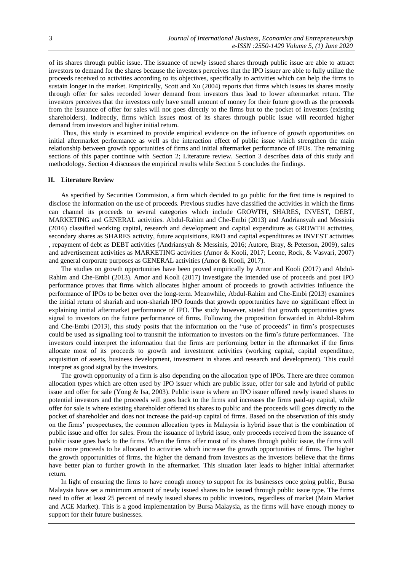of its shares through public issue. The issuance of newly issued shares through public issue are able to attract investors to demand for the shares because the investors perceives that the IPO issuer are able to fully utilize the proceeds received to activities according to its objectives, specifically to activities which can help the firms to sustain longer in the market. Empirically, Scott and Xu (2004) reports that firms which issues its shares mostly through offer for sales recorded lower demand from investors thus lead to lower aftermarket return. The investors perceives that the investors only have small amount of money for their future growth as the proceeds from the issuance of offer for sales will not goes directly to the firms but to the pocket of investors (existing shareholders). Indirectly, firms which issues most of its shares through public issue will recorded higher demand from investors and higher initial return.

Thus, this study is examined to provide empirical evidence on the influence of growth opportunities on initial aftermarket performance as well as the interaction effect of public issue which strengthen the main relationship between growth opportunities of firms and initial aftermarket performance of IPOs. The remaining sections of this paper continue with Section 2; Literature review. Section 3 describes data of this study and methodology. Section 4 discusses the empirical results while Section 5 concludes the findings.

#### **II. Literature Review**

As specified by Securities Commision, a firm which decided to go public for the first time is required to disclose the information on the use of proceeds. Previous studies have classified the activities in which the firms can channel its proceeds to several categories which include GROWTH, SHARES, INVEST, DEBT, MARKETING and GENERAL activities. Abdul-Rahim and Che-Embi (2013) and Andriansyah and Messinis (2016) classified working capital, research and development and capital expenditure as GROWTH activities, secondary shares as SHARES activity, future acquisitions, R&D and capital expenditures as INVEST activities , repayment of debt as DEBT activities (Andriansyah & Messinis, 2016; Autore, Bray, & Peterson, 2009), sales and advertisement activities as MARKETING activities (Amor & Kooli, 2017; Leone, Rock, & Vasvari, 2007) and general corporate purposes as GENERAL activities (Amor & Kooli, 2017).

The studies on growth opportunities have been proved empirically by Amor and Kooli (2017) and Abdul-Rahim and Che-Embi (2013). Amor and Kooli (2017) investigate the intended use of proceeds and post IPO performance proves that firms which allocates higher amount of proceeds to growth activities influence the performance of IPOs to be better over the long-term. Meanwhile, Abdul-Rahim and Che-Embi (2013) examines the initial return of shariah and non-shariah IPO founds that growth opportunities have no significant effect in explaining initial aftermarket performance of IPO. The study however, stated that growth opportunities gives signal to investors on the future performance of firms. Following the proposition forwarded in Abdul-Rahim and Che-Embi (2013), this study posits that the information on the "use of proceeds" in firm's prospectuses could be used as signalling tool to transmit the information to investors on the firm's future performances. The investors could interpret the information that the firms are performing better in the aftermarket if the firms allocate most of its proceeds to growth and investment activities (working capital, capital expenditure, acquisition of assets, business development, investment in shares and research and development). This could interpret as good signal by the investors.

The growth opportunity of a firm is also depending on the allocation type of IPOs. There are three common allocation types which are often used by IPO issuer which are public issue, offer for sale and hybrid of public issue and offer for sale (Yong & Isa, 2003). Public issue is where an IPO issuer offered newly issued shares to potential investors and the proceeds will goes back to the firms and increases the firms paid-up capital, while offer for sale is where existing shareholder offered its shares to public and the proceeds will goes directly to the pocket of shareholder and does not increase the paid-up capital of firms. Based on the observation of this study on the firms' prospectuses, the common allocation types in Malaysia is hybrid issue that is the combination of public issue and offer for sales. From the issuance of hybrid issue, only proceeds received from the issuance of public issue goes back to the firms. When the firms offer most of its shares through public issue, the firms will have more proceeds to be allocated to activities which increase the growth opportunities of firms. The higher the growth opportunities of firms, the higher the demand from investors as the investors believe that the firms have better plan to further growth in the aftermarket. This situation later leads to higher initial aftermarket return.

In light of ensuring the firms to have enough money to support for its businesses once going public, Bursa Malaysia have set a minimum amount of newly issued shares to be issued through public issue type. The firms need to offer at least 25 percent of newly issued shares to public investors, regardless of market (Main Market and ACE Market). This is a good implementation by Bursa Malaysia, as the firms will have enough money to support for their future businesses.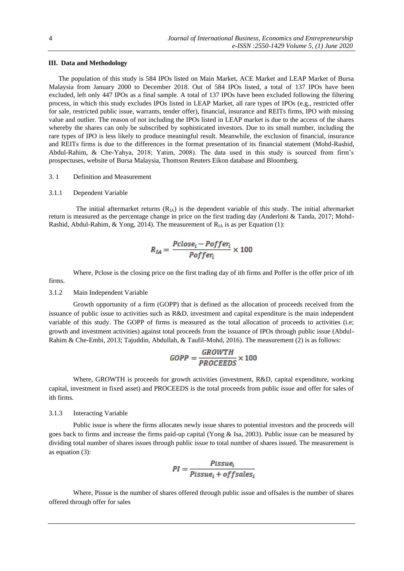# **III. Data and Methodology**

The population of this study is 584 IPOs listed on Main Market, ACE Market and LEAP Market of Bursa Malaysia from January 2000 to December 2018. Out of 584 IPOs listed, a total of 137 IPOs have been excluded, left only 447 IPOs as a final sample. A total of 137 IPOs have been excluded following the filtering process, in which this study excludes IPOs listed in LEAP Market, all rare types of IPOs (e.g., restricted offer for sale, restricted public issue, warrants, tender offer), financial, insurance and REITs firms, IPO with missing value and outlier. The reason of not including the IPOs listed in LEAP market is due to the access of the shares whereby the shares can only be subscribed by sophisticated investors. Due to its small number, including the rare types of IPO is less likely to produce meaningful result. Meanwhile, the exclusion of financial, insurance and REITs firms is due to the differences in the format presentation of its financial statement (Mohd-Rashid, Abdul-Rahim, & Che-Yahya, 2018; Yatim, 2008). The data used in this study is sourced from firm's prospectuses, website of Bursa Malaysia, Thomson Reuters Eikon database and Bloomberg.

## 3. 1 Definition and Measurement

## 3.1.1 Dependent Variable

The initial aftermarket returns  $(R<sub>IA</sub>)$  is the dependent variable of this study. The initial aftermarket return is measured as the percentage change in price on the first trading day (Anderloni & Tanda, 2017; Mohd-Rashid, Abdul-Rahim, & Yong, 2014). The measurement of  $R_{IA}$  is as per Equation (1):

$$
R_{IA} = \frac{Pclose_i - Poffer_i}{Poffer_i} \times 100
$$

Where, Pclose is the closing price on the first trading day of ith firms and Poffer is the offer price of ith firms.

## 3.1.2 Main Independent Variable

Growth opportunity of a firm (GOPP) that is defined as the allocation of proceeds received from the issuance of public issue to activities such as R&D, investment and capital expenditure is the main independent variable of this study. The GOPP of firms is measured as the total allocation of proceeds to activities (i.e; growth and investment activities) against total proceeds from the issuance of IPOs through public issue (Abdul-Rahim & Che-Embi, 2013; Tajuddin, Abdullah, & Taufil-Mohd, 2016). The measurement (2) is as follows:

$$
GOPP = \frac{GROWTH}{PROCEEDS} \times 100
$$

<u>. . . . . . . . .</u>

Where, GROWTH is proceeds for growth activities (investment, R&D, capital expenditure, working capital, investment in fixed asset) and PROCEEDS is the total proceeds from public issue and offer for sales of ith firms.

# 3.1.3 Interacting Variable

Public issue is where the firms allocates newly issue shares to potential investors and the proceeds will goes back to firms and increase the firms paid-up capital (Yong & Isa, 2003). Public issue can be measured by dividing total number of shares issues through public issue to total number of shares issued. The measurement is as equation (3):

$$
PI = \frac{Pissue_i}{Pissue_i + off sales_i}
$$

Where, Pissue is the number of shares offered through public issue and offsales is the number of shares offered through offer for sales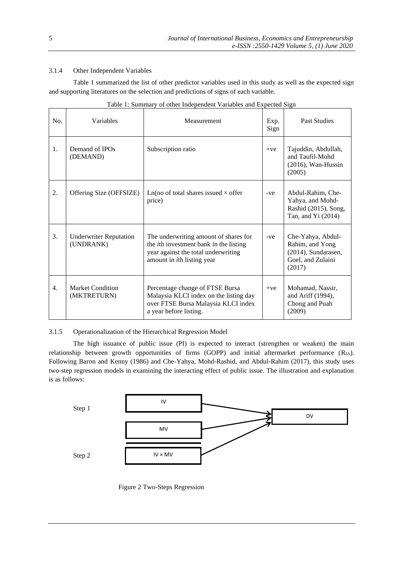# 3.1.4 Other Independent Variables

Table 1 summarized the list of other predictor variables used in this study as well as the expected sign and supporting literatures on the selection and predictions of signs of each variable.

| No.              | Variables                                  | Measurement                                                                                                                                                          | Exp.<br>Sign | <b>Past Studies</b>                                                                        |  |
|------------------|--------------------------------------------|----------------------------------------------------------------------------------------------------------------------------------------------------------------------|--------------|--------------------------------------------------------------------------------------------|--|
| 1.               | Demand of IPOs<br>(DEMAND)                 | Subscription ratio                                                                                                                                                   | $+ve$        | Tajuddin, Abdullah,<br>and Taufil-Mohd<br>$(2016)$ , Wan-Hussin<br>(2005)                  |  |
| 2.               | Offering Size (OFFSIZE)                    | Ln(no of total shares issued $\times$ offer<br>price)                                                                                                                | $-ve$        | Abdul-Rahim, Che-<br>Yahya, and Mohd-<br>Rashid (2015), Song,<br>Tan, and Yi (2014)        |  |
| 3.               | <b>Underwriter Reputation</b><br>(UNDRANK) | The underwriting amount of shares for<br>the <i>i</i> th investment bank in the listing<br>year against the total underwriting<br>amount in <i>i</i> th listing year | $-ve$        | Che-Yahya, Abdul-<br>Rahim, and Yong<br>(2014), Sundarasen,<br>Goel, and Zulaini<br>(2017) |  |
| $\overline{4}$ . | <b>Market Condition</b><br>(MKTRETURN)     | Percentage change of FTSE Bursa<br>Malaysia KLCI index on the listing day<br>over FTSE Bursa Malaysia KLCI index<br>a year before listing.                           | $+ve$        | Mohamad, Nassir,<br>and Ariff (1994),<br>Chong and Puah<br>(2009)                          |  |

Table 1: Summary of other Independent Variables and Expected Sign

# 3.1.5 Operationalization of the Hierarchical Regression Model

The high issuance of public issue (PI) is expected to interact (strengthen or weaken) the main relationship between growth opportunities of firms (GOPP) and initial aftermarket performance (R<sub>IA</sub>). Following Baron and Kenny (1986) and Che-Yahya, Mohd-Rashid, and Abdul-Rahim (2017), this study uses two-step regression models in examining the interacting effect of public issue. The illustration and explanation is as follows:



Figure 2 Two-Steps Regression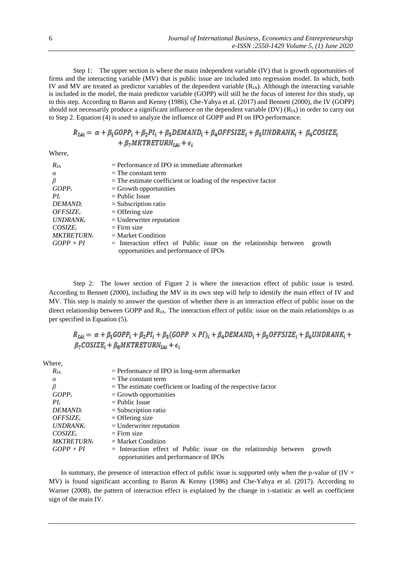Step 1: The upper section is where the main independent variable (IV) that is growth opportunities of firms and the interacting variable (MV) that is public issue are included into regression model. In which, both IV and MV are treated as predictor variables of the dependent variable  $(R<sub>IA</sub>)$ . Although the interacting variable is included in the model, the main predictor variable (GOPP) will still be the focus of interest for this study, up to this step. According to Baron and Kenny (1986), Che-Yahya et al. (2017) and Bennett (2000), the IV (GOPP) should not necessarily produce a significant influence on the dependent variable (DV)  $(R<sub>IA</sub>)$  in order to carry out to Step 2. Equation (4) is used to analyze the influence of GOPP and PI on IPO performance.

$$
R_{IAi} = \alpha + \beta_1 GOPP_i + \beta_2 PI_i + \beta_3 DEMAND_i + \beta_4 OFFSIZE_i + \beta_5 UNDRANK_i + \beta_6 COSIZE_i
$$
  
+ 
$$
\beta_7 MKTERURN_{IAi} + \epsilon_i
$$

Where,

| $R_{IA}$                    | $=$ Performance of IPO in immediate aftermarket                                                                       |
|-----------------------------|-----------------------------------------------------------------------------------------------------------------------|
| $\alpha$                    | $=$ The constant term                                                                                                 |
| $\beta$                     | $=$ The estimate coefficient or loading of the respective factor                                                      |
| $GOPP_i$                    | $=$ Growth opportunities                                                                                              |
| $PI_i$                      | $=$ Public Issue                                                                                                      |
| DEMAND <sub>i</sub>         | $=$ Subscription ratio                                                                                                |
| $OFFSIZE_i$                 | $=$ Offering size                                                                                                     |
| <i>UNDRANK</i> <sub>i</sub> | $=$ Underwriter reputation                                                                                            |
| $\textit{CoSIZE}_i$         | $=$ Firm size                                                                                                         |
| <i>MKTRETURNi</i>           | $=$ Market Condition                                                                                                  |
| $GOPP \times PI$            | $=$ Interaction effect of Public issue on the relationship between<br>growth<br>opportunities and performance of IPOs |

Step 2: The lower section of Figure 2 is where the interaction effect of public issue is tested. According to Bennett (2000), including the MV in its own step will help to identify the main effect of IV and MV. This step is mainly to answer the question of whether there is an interaction effect of public issue on the direct relationship between GOPP and RIA. The interaction effect of public issue on the main relationships is as per specified in Equation (5).

$$
R_{IAi} = \alpha + \beta_1 GDP_i + \beta_2 PI_i + \beta_3 (GOPP \times PI)_i + \beta_4 DEMAND_i + \beta_5 OFFSIZE_i + \beta_6 UNDRAMK_i + \beta_7 COSIZE_i + \beta_8 MKTRETURNIAi + \epsilon_i
$$

Where

| $R_{IA}$            | $=$ Performance of IPO in long-term aftermarket                              |
|---------------------|------------------------------------------------------------------------------|
| $\alpha$            | $=$ The constant term                                                        |
| $\beta$             | $=$ The estimate coefficient or loading of the respective factor             |
| $GOPP_i$            | $=$ Growth opportunities                                                     |
| $PI_i$              | $=$ Public Issue                                                             |
| DEMAND <sub>i</sub> | $=$ Subscription ratio                                                       |
| $OFFSIZE_i$         | $=$ Offering size                                                            |
| $UNDRANK_i$         | $=$ Underwriter reputation                                                   |
| $\textit{COSIZE}_i$ | $=$ Firm size                                                                |
| <b>MKTRETURN</b> i  | $=$ Market Condition                                                         |
| $GOPP \times PI$    | $=$ Interaction effect of Public issue on the relationship between<br>growth |
|                     | opportunities and performance of IPOs                                        |

In summary, the presence of interaction effect of public issue is supported only when the p-value of (IV  $\times$ MV) is found significant according to Baron & Kenny (1986) and Che-Yahya et al. (2017). According to Warner (2008), the pattern of interaction effect is explained by the change in t-statistic as well as coefficient sign of the main IV.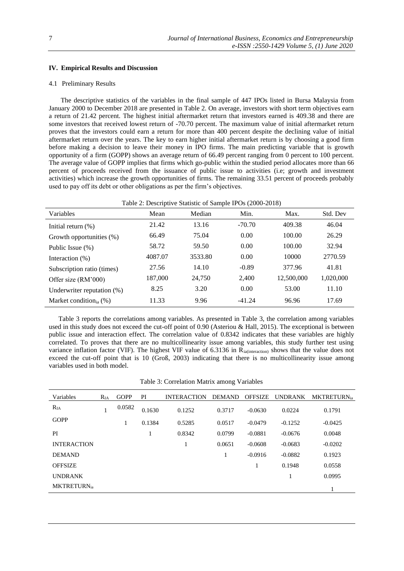## **IV. Empirical Results and Discussion**

## 4.1 Preliminary Results

 The descriptive statistics of the variables in the final sample of 447 IPOs listed in Bursa Malaysia from January 2000 to December 2018 are presented in Table 2. On average, investors with short term objectives earn a return of 21.42 percent. The highest initial aftermarket return that investors earned is 409.38 and there are some investors that received lowest return of -70.70 percent. The maximum value of initial aftermarket return proves that the investors could earn a return for more than 400 percent despite the declining value of initial aftermarket return over the years. The key to earn higher initial aftermarket return is by choosing a good firm before making a decision to leave their money in IPO firms. The main predicting variable that is growth opportunity of a firm (GOPP) shows an average return of 66.49 percent ranging from 0 percent to 100 percent. The average value of GOPP implies that firms which go-public within the studied period allocates more than 66 percent of proceeds received from the issuance of public issue to activities (i.e; growth and investment activities) which increase the growth opportunities of firms. The remaining 33.51 percent of proceeds probably used to pay off its debt or other obligations as per the firm's objectives.

| Table 2: Descriptive Statistic of Sample IPOs (2000-2018) |  |  |
|-----------------------------------------------------------|--|--|
|                                                           |  |  |

| Variables                     | Mean    | Median  | Min.     | Max.       | Std. Dev  |
|-------------------------------|---------|---------|----------|------------|-----------|
| Initial return $(\%)$         | 21.42   | 13.16   | $-70.70$ | 409.38     | 46.04     |
| Growth opportunities (%)      | 66.49   | 75.04   | 0.00     | 100.00     | 26.29     |
| Public Issue (%)              | 58.72   | 59.50   | 0.00     | 100.00     | 32.94     |
| Interaction $(\%)$            | 4087.07 | 3533.80 | 0.00     | 10000      | 2770.59   |
| Subscription ratio (times)    | 27.56   | 14.10   | $-0.89$  | 377.96     | 41.81     |
| Offer size (RM'000)           | 187,000 | 24.750  | 2,400    | 12,500,000 | 1,020,000 |
| Underwriter reputation $(\%)$ | 8.25    | 3.20    | 0.00     | 53.00      | 11.10     |
| Market condition. $(\%)$      | 11.33   | 9.96    | $-41.24$ | 96.96      | 17.69     |

Table 3 reports the correlations among variables. As presented in Table 3, the correlation among variables used in this study does not exceed the cut-off point of 0.90 (Asteriou & Hall, 2015). The exceptional is between public issue and interaction effect. The correlation value of 0.8342 indicates that these variables are highly correlated. To proves that there are no multicollinearity issue among variables, this study further test using variance inflation factor (VIF). The highest VIF value of 6.3136 in R<sub>ia(interaction</sub>) shows that the value does not exceed the cut-off point that is 10 (Groß, 2003) indicating that there is no multicollinearity issue among variables used in both model.

Table 3: Correlation Matrix among Variables

| Variables          | $R_{IA}$ | <b>GOPP</b> | PI     | <b>INTERACTION</b> | <b>DEMAND</b> | <b>OFFSIZE</b> | <b>UNDRANK</b> | <b>MKTRETURN</b> ia |
|--------------------|----------|-------------|--------|--------------------|---------------|----------------|----------------|---------------------|
| $R_{IA}$           |          | 0.0582      | 0.1630 | 0.1252             | 0.3717        | $-0.0630$      | 0.0224         | 0.1791              |
| <b>GOPP</b>        |          | 1           | 0.1384 | 0.5285             | 0.0517        | $-0.0479$      | $-0.1252$      | $-0.0425$           |
| PI                 |          |             | 1      | 0.8342             | 0.0799        | $-0.0881$      | $-0.0676$      | 0.0048              |
| <b>INTERACTION</b> |          |             |        | 1                  | 0.0651        | $-0.0608$      | $-0.0683$      | $-0.0202$           |
| <b>DEMAND</b>      |          |             |        |                    |               | $-0.0916$      | $-0.0882$      | 0.1923              |
| <b>OFFSIZE</b>     |          |             |        |                    |               |                | 0.1948         | 0.0558              |
| <b>UNDRANK</b>     |          |             |        |                    |               |                |                | 0.0995              |
| <b>MKTRETURNia</b> |          |             |        |                    |               |                |                | 1                   |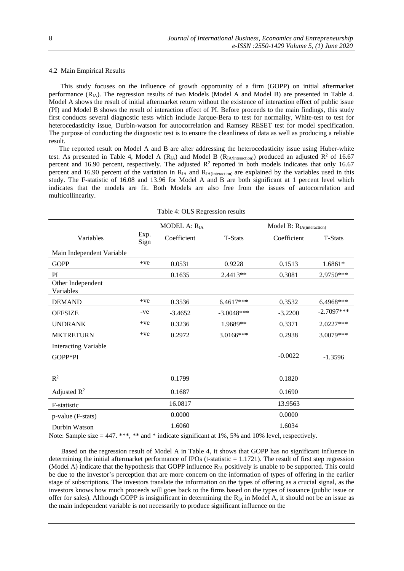# 4.2 Main Empirical Results

 This study focuses on the influence of growth opportunity of a firm (GOPP) on initial aftermarket performance  $(R<sub>IA</sub>)$ . The regression results of two Models (Model A and Model B) are presented in Table 4. Model A shows the result of initial aftermarket return without the existence of interaction effect of public issue (PI) and Model B shows the result of interaction effect of PI. Before proceeds to the main findings, this study first conducts several diagnostic tests which include Jarque-Bera to test for normality, White-test to test for heterocedasticity issue, Durbin-watson for autocorrelation and Ramsey RESET test for model specification. The purpose of conducting the diagnostic test is to ensure the cleanliness of data as well as producing a reliable result.

 The reported result on Model A and B are after addressing the heterocedasticity issue using Huber-white test. As presented in Table 4, Model A (R<sub>IA</sub>) and Model B (R<sub>IA(interaction</sub>) produced an adjusted R<sup>2</sup> of 16.67 percent and 16.90 percent, respectively. The adjusted  $R^2$  reported in both models indicates that only 16.67 percent and 16.90 percent of the variation in R<sub>IA</sub> and R<sub>IA(interaction)</sub> are explained by the variables used in this study. The F-statistic of 16.08 and 13.96 for Model A and B are both significant at 1 percent level which indicates that the models are fit. Both Models are also free from the issues of autocorrelation and multicollinearity.

|                                |              | MODEL A: RIA | Model B: R <sub>IA(interaction)</sub> |             |                |
|--------------------------------|--------------|--------------|---------------------------------------|-------------|----------------|
| Variables                      | Exp.<br>Sign | Coefficient  | <b>T-Stats</b>                        | Coefficient | <b>T-Stats</b> |
| Main Independent Variable      |              |              |                                       |             |                |
| <b>GOPP</b>                    | $+ve$        | 0.0531       | 0.9228                                | 0.1513      | 1.6861*        |
| PI                             |              | 0.1635       | $2.4413**$                            | 0.3081      | 2.9750***      |
| Other Independent<br>Variables |              |              |                                       |             |                |
| <b>DEMAND</b>                  | $+ve$        | 0.3536       | 6.4617***                             | 0.3532      | $6.4968***$    |
| <b>OFFSIZE</b>                 | -ve          | $-3.4652$    | $-3.0048***$                          | $-3.2200$   | $-2.7097***$   |
| <b>UNDRANK</b>                 | $+ve$        | 0.3236       | 1.9689**                              | 0.3371      | 2.0227***      |
| <b>MKTRETURN</b>               | $+ve$        | 0.2972       | $3.0166$ ***                          | 0.2938      | 3.0079***      |
| <b>Interacting Variable</b>    |              |              |                                       |             |                |
| GOPP*PI                        |              |              |                                       | $-0.0022$   | $-1.3596$      |
|                                |              |              |                                       |             |                |
| $\mathbb{R}^2$                 |              | 0.1799       |                                       | 0.1820      |                |
| Adjusted $R^2$                 |              | 0.1687       |                                       | 0.1690      |                |
| F-statistic                    |              | 16.0817      |                                       | 13.9563     |                |
| p-value (F-stats)              |              | 0.0000       |                                       | 0.0000      |                |
| Durbin Watson                  |              | 1.6060       |                                       | 1.6034      |                |

Table 4: OLS Regression results

Note: Sample size  $= 447$ . \*\*\*, \*\* and \* indicate significant at 1%, 5% and 10% level, respectively.

Based on the regression result of Model A in Table 4, it shows that GOPP has no significant influence in determining the initial aftermarket performance of IPOs (t-statistic  $= 1.1721$ ). The result of first step regression (Model A) indicate that the hypothesis that GOPP influence RIA positively is unable to be supported. This could be due to the investor's perception that are more concern on the information of types of offering in the earlier stage of subscriptions. The investors translate the information on the types of offering as a crucial signal, as the investors knows how much proceeds will goes back to the firms based on the types of issuance (public issue or offer for sales). Although GOPP is insignificant in determining the  $R_{IA}$  in Model A, it should not be an issue as the main independent variable is not necessarily to produce significant influence on the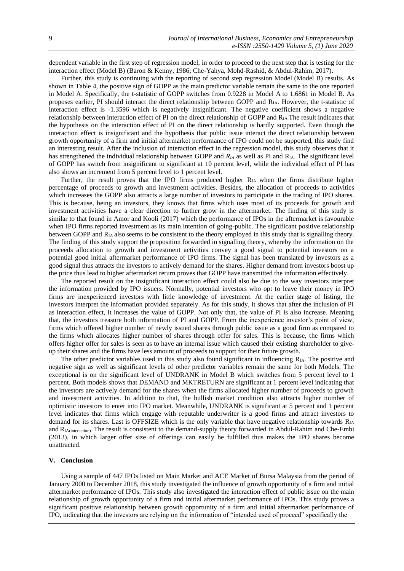dependent variable in the first step of regression model, in order to proceed to the next step that is testing for the interaction effect (Model B) (Baron & Kenny, 1986; Che-Yahya, Mohd-Rashid, & Abdul-Rahim, 2017).

Further, this study is continuing with the reporting of second step regression Model (Model B) results. As shown in Table 4, the positive sign of GOPP as the main predictor variable remain the same to the one reported in Model A. Specifically, the t-statistic of GOPP switches from 0.9228 in Model A to 1.6861 in Model B. As proposes earlier, PI should interact the direct relationship between GOPP and RIA. However, the t-statistic of interaction effect is -1.3596 which is negatively insignificant. The negative coefficient shows a negative relationship between interaction effect of PI on the direct relationship of GOPP and  $R_{IA}$ . The result indicates that the hypothesis on the interaction effect of PI on the direct relationship is hardly supported. Even though the interaction effect is insignificant and the hypothesis that public issue interact the direct relationship between growth opportunity of a firm and initial aftermarket performance of IPO could not be supported, this study find an interesting result. After the inclusion of interaction effect in the regression model, this study observes that it has strengthened the individual relationship between GOPP and *RIA* as well as PI and RIA. The significant level of GOPP has switch from insignificant to significant at 10 percent level, while the individual effect of PI has also shows an increment from 5 percent level to 1 percent level.

Further, the result proves that the IPO firms produced higher R<sub>IA</sub> when the firms distribute higher percentage of proceeds to growth and investment activities. Besides, the allocation of proceeds to activities which increases the GOPP also attracts a large number of investors to participate in the trading of IPO shares. This is because, being an investors, they knows that firms which uses most of its proceeds for growth and investment activities have a clear direction to further grow in the aftermarket. The finding of this study is similar to that found in Amor and Kooli (2017) which the performance of IPOs in the aftermarket is favourable when IPO firms reported investment as its main intention of going-public. The significant positive relationship between GOPP and  $R_{IA}$  also seems to be consistent to the theory employed in this study that is signalling theory. The finding of this study support the proposition forwarded in signalling theory, whereby the information on the proceeds allocation to growth and investment activities convey a good signal to potential investors on a potential good initial aftermarket performance of IPO firms. The signal has been translated by investors as a good signal thus attracts the investors to actively demand for the shares. Higher demand from investors boost up the price thus lead to higher aftermarket return proves that GOPP have transmitted the information effectively.

The reported result on the insignificant interaction effect could also be due to the way investors interpret the information provided by IPO issuers. Normally, potential investors who opt to leave their money in IPO firms are inexperienced investors with little knowledge of investment. At the earlier stage of listing, the investors interpret the information provided separately. As for this study, it shows that after the inclusion of PI as interaction effect, it increases the value of GOPP. Not only that, the value of PI is also increase. Meaning that, the investors treasure both information of PI and GOPP. From the inexperience investor's point of view, firms which offered higher number of newly issued shares through public issue as a good firm as compared to the firms which allocates higher number of shares through offer for sales. This is because, the firms which offers higher offer for sales is seen as to have an internal issue which caused their existing shareholder to giveup their shares and the firms have less amount of proceeds to support for their future growth.

The other predictor variables used in this study also found significant in influencing RIA. The positive and negative sign as well as significant levels of other predictor variables remain the same for both Models. The exceptional is on the significant level of UNDRANK in Model B which switches from 5 percent level to 1 percent. Both models shows that DEMAND and MKTRETURN are significant at 1 percent level indicating that the investors are actively demand for the shares when the firms allocated higher number of proceeds to growth and investment activities. In addition to that, the bullish market condition also attracts higher number of optimistic investors to enter into IPO market. Meanwhile, UNDRANK is significant at 5 percent and 1 percent level indicates that firms which engage with reputable underwriter is a good firms and attract investors to demand for its shares. Last is OFFSIZE which is the only variable that have negative relationship towards RIA and RIA(interaction). The result is consistent to the demand-supply theory forwarded in Abdul-Rahim and Che-Embi (2013), in which larger offer size of offerings can easily be fulfilled thus makes the IPO shares become unattracted.

#### **V. Conclusion**

Using a sample of 447 IPOs listed on Main Market and ACE Market of Bursa Malaysia from the period of January 2000 to December 2018, this study investigated the influence of growth opportunity of a firm and initial aftermarket performance of IPOs. This study also investigated the interaction effect of public issue on the main relationship of growth opportunity of a firm and initial aftermarket performance of IPOs. This study proves a significant positive relationship between growth opportunity of a firm and initial aftermarket performance of IPO, indicating that the investors are relying on the information of "intended used of proceed" specifically the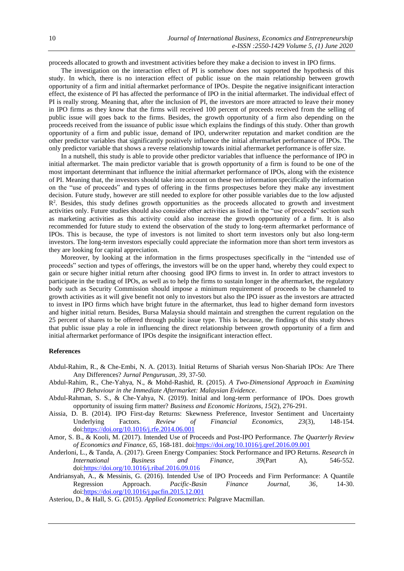proceeds allocated to growth and investment activities before they make a decision to invest in IPO firms.

The investigation on the interaction effect of PI is somehow does not supported the hypothesis of this study. In which, there is no interaction effect of public issue on the main relationship between growth opportunity of a firm and initial aftermarket performance of IPOs. Despite the negative insignificant interaction effect, the existence of PI has affected the performance of IPO in the initial aftermarket. The individual effect of PI is really strong. Meaning that, after the inclusion of PI, the investors are more attracted to leave their money in IPO firms as they know that the firms will received 100 percent of proceeds received from the selling of public issue will goes back to the firms. Besides, the growth opportunity of a firm also depending on the proceeds received from the issuance of public issue which explains the findings of this study. Other than growth opportunity of a firm and public issue, demand of IPO, underwriter reputation and market condition are the other predictor variables that significantly positively influence the initial aftermarket performance of IPOs. The only predictor variable that shows a reverse relationship towards initial aftermarket performance is offer size.

In a nutshell, this study is able to provide other predictor variables that influence the performance of IPO in initial aftermarket. The main predictor variable that is growth opportunity of a firm is found to be one of the most important determinant that influence the initial aftermarket performance of IPOs, along with the existence of PI. Meaning that, the investors should take into account on these two information specifically the information on the "use of proceeds" and types of offering in the firms prospectuses before they make any investment decision. Future study, however are still needed to explore for other possible variables due to the low adjusted  $R<sup>2</sup>$ . Besides, this study defines growth opportunities as the proceeds allocated to growth and investment activities only. Future studies should also consider other activities as listed in the "use of proceeds" section such as marketing activities as this activity could also increase the growth opportunity of a firm. It is also recommended for future study to extend the observation of the study to long-term aftermarket performance of IPOs. This is because, the type of investors is not limited to short term investors only but also long-term investors. The long-term investors especially could appreciate the information more than short term investors as they are looking for capital appreciation.

Moreover, by looking at the information in the firms prospectuses specifically in the "intended use of proceeds" section and types of offerings, the investors will be on the upper hand, whereby they could expect to gain or secure higher initial return after choosing good IPO firms to invest in. In order to attract investors to participate in the trading of IPOs, as well as to help the firms to sustain longer in the aftermarket, the regulatory body such as Security Commission should impose a minimum requirement of proceeds to be channeled to growth activities as it will give benefit not only to investors but also the IPO issuer as the investors are attracted to invest in IPO firms which have bright future in the aftermarket, thus lead to higher demand form investors and higher initial return. Besides, Bursa Malaysia should maintain and strengthen the current regulation on the 25 percent of shares to be offered through public issue type. This is because, the findings of this study shows that public issue play a role in influencing the direct relationship between growth opportunity of a firm and initial aftermarket performance of IPOs despite the insignificant interaction effect.

## **References**

- Abdul-Rahim, R., & Che-Embi, N. A. (2013). Initial Returns of Shariah versus Non-Shariah IPOs: Are There Any Differences? *Jurnal Pengurusan, 39*, 37-50.
- Abdul-Rahim, R., Che-Yahya, N., & Mohd-Rashid, R. (2015). *A Two-Dimensional Approach in Examining IPO Behaviour in the Immediate Aftermarket: Malaysian Evidence*.
- Abdul-Rahman, S. S., & Che-Yahya, N. (2019). Initial and long-term performance of IPOs. Does growth opportunity of issuing firm matter? *Business and Economic Horizons, 15*(2), 276-291.
- Aissia, D. B. (2014). IPO First-day Returns: Skewness Preference, Investor Sentiment and Uncertainty Underlying Factors. *Review of Financial Economics, 23*(3), 148-154. doi[:https://doi.org/10.1016/j.rfe.2014.06.001](https://doi.org/10.1016/j.rfe.2014.06.001)
- Amor, S. B., & Kooli, M. (2017). Intended Use of Proceeds and Post-IPO Performance. *The Quarterly Review of Economics and Finance, 65*, 168-181. doi[:https://doi.org/10.1016/j.qref.2016.09.001](https://doi.org/10.1016/j.qref.2016.09.001)
- Anderloni, L., & Tanda, A. (2017). Green Energy Companies: Stock Performance and IPO Returns. *Research in International Business and Finance, 39*(Part A), 546-552. doi[:https://doi.org/10.1016/j.ribaf.2016.09.016](https://doi.org/10.1016/j.ribaf.2016.09.016)
- Andriansyah, A., & Messinis, G. (2016). Intended Use of IPO Proceeds and Firm Performance: A Quantile Regression Approach. *Pacific-Basin Finance Journal, 36*, 14-30. doi[:https://doi.org/10.1016/j.pacfin.2015.12.001](https://doi.org/10.1016/j.pacfin.2015.12.001)
- Asteriou, D., & Hall, S. G. (2015). *Applied Econometrics*: Palgrave Macmillan.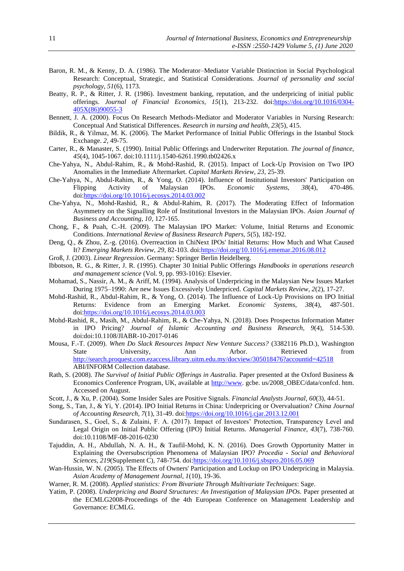- Baron, R. M., & Kenny, D. A. (1986). The Moderator–Mediator Variable Distinction in Social Psychological Research: Conceptual, Strategic, and Statistical Considerations. *Journal of personality and social psychology, 51*(6), 1173.
- Beatty, R. P., & Ritter, J. R. (1986). Investment banking, reputation, and the underpricing of initial public offerings. *Journal of Financial Economics, 15*(1), 213-232. doi[:https://doi.org/10.1016/0304-](https://doi.org/10.1016/0304-405X(86)90055-3) [405X\(86\)90055-3](https://doi.org/10.1016/0304-405X(86)90055-3)
- Bennett, J. A. (2000). Focus On Research Methods-Mediator and Moderator Variables in Nursing Research: Conceptual And Statistical Differences. *Research in nursing and health, 23*(5), 415.
- Bildik, R., & Yilmaz, M. K. (2006). The Market Performance of Initial Public Offerings in the Istanbul Stock Exchange. *2*, 49-75.
- Carter, R., & Manaster, S. (1990). Initial Public Offerings and Underwriter Reputation. *The journal of finance, 45*(4), 1045-1067. doi:10.1111/j.1540-6261.1990.tb02426.x
- Che-Yahya, N., Abdul-Rahim, R., & Mohd-Rashid, R. (2015). Impact of Lock-Up Provision on Two IPO Anomalies in the Immediate Aftermarket. *Capital Markets Review, 23*, 25-39.
- Che-Yahya, N., Abdul-Rahim, R., & Yong, O. (2014). Influence of Institutional Investors' Participation on Flipping Activity of Malaysian IPOs. *Economic Systems, 38*(4), 470-486. doi[:https://doi.org/10.1016/j.ecosys.2014.03.002](https://doi.org/10.1016/j.ecosys.2014.03.002)
- Che-Yahya, N., Mohd-Rashid, R., & Abdul-Rahim, R. (2017). The Moderating Effect of Information Asymmetry on the Signalling Role of Institutional Investors in the Malaysian IPOs. *Asian Journal of Business and Accounting, 10*, 127-165.
- Chong, F., & Puah, C.-H. (2009). The Malaysian IPO Market: Volume, Initial Returns and Economic Conditions. *International Review of Business Research Papers, 5*(5), 182-192.
- Deng, Q., & Zhou, Z.-g. (2016). Overreaction in ChiNext IPOs' Initial Returns: How Much and What Caused It? *Emerging Markets Review, 29*, 82-103. doi[:https://doi.org/10.1016/j.ememar.2016.08.012](https://doi.org/10.1016/j.ememar.2016.08.012)
- Groß, J. (2003). *Linear Regression*. Germany: Springer Berlin Heidelberg.
- Ibbotson, R. G., & Ritter, J. R. (1995). Chapter 30 Initial Public Offerings *Handbooks in operations research and management science* (Vol. 9, pp. 993-1016): Elsevier.
- Mohamad, S., Nassir, A. M., & Ariff, M. (1994). Analysis of Underpricing in the Malaysian New Issues Market During 1975–1990: Are new Issues Excessively Underpriced. *Capital Markets Review, 2*(2), 17-27.
- Mohd-Rashid, R., Abdul-Rahim, R., & Yong, O. (2014). The Influence of Lock-Up Provisions on IPO Initial Returns: Evidence from an Emerging Market. *Economic Systems, 38*(4), 487-501. doi[:https://doi.org/10.1016/j.ecosys.2014.03.003](https://doi.org/10.1016/j.ecosys.2014.03.003)
- Mohd-Rashid, R., Masih, M., Abdul-Rahim, R., & Che-Yahya, N. (2018). Does Prospectus Information Matter in IPO Pricing? *Journal of Islamic Accounting and Business Research, 9*(4), 514-530. doi:doi:10.1108/JIABR-10-2017-0146
- Mousa, F.-T. (2009). *When Do Slack Resources Impact New Venture Success?* (3382116 Ph.D.), Washington State University, Ann Arbor. Retrieved from <http://search.proquest.com.ezaccess.library.uitm.edu.my/docview/305018476?accountid=42518> ABI/INFORM Collection database.
- Rath, S. (2008). *The Survival of Initial Public Offerings in Australia.* Paper presented at the Oxford Business & Economics Conference Program, UK, available at [http://www.](http://www/) gcbe. us/2008\_OBEC/data/confcd. htm. Accessed on August.
- Scott, J., & Xu, P. (2004). Some Insider Sales are Positive Signals. *Financial Analysts Journal, 60*(3), 44-51.
- Song, S., Tan, J., & Yi, Y. (2014). IPO Initial Returns in China: Underpricing or Overvaluation? *China Journal of Accounting Research, 7*(1), 31-49. doi[:https://doi.org/10.1016/j.cjar.2013.12.001](https://doi.org/10.1016/j.cjar.2013.12.001)
- Sundarasen, S., Goel, S., & Zulaini, F. A. (2017). Impact of Investors' Protection, Transparency Level and Legal Origin on Initial Public Offering (IPO) Initial Returns. *Managerial Finance, 43*(7), 738-760. doi:10.1108/MF-08-2016-0230
- Tajuddin, A. H., Abdullah, N. A. H., & Taufil-Mohd, K. N. (2016). Does Growth Opportunity Matter in Explaining the Oversubscription Phenomena of Malaysian IPO? *Procedia - Social and Behavioral Sciences, 219*(Supplement C), 748-754. doi[:https://doi.org/10.1016/j.sbspro.2016.05.069](https://doi.org/10.1016/j.sbspro.2016.05.069)
- Wan-Hussin, W. N. (2005). The Effects of Owners' Participation and Lockup on IPO Underpricing in Malaysia. *Asian Academy of Management Journal, 1*(10), 19-36.
- Warner, R. M. (2008). *Applied statistics: From Bivariate Through Multivariate Techniques*: Sage.
- Yatim, P. (2008). *Underpricing and Board Structures: An Investigation of Malaysian IPOs.* Paper presented at the ECMLG2008-Proceedings of the 4th European Conference on Management Leadership and Governance: ECMLG.